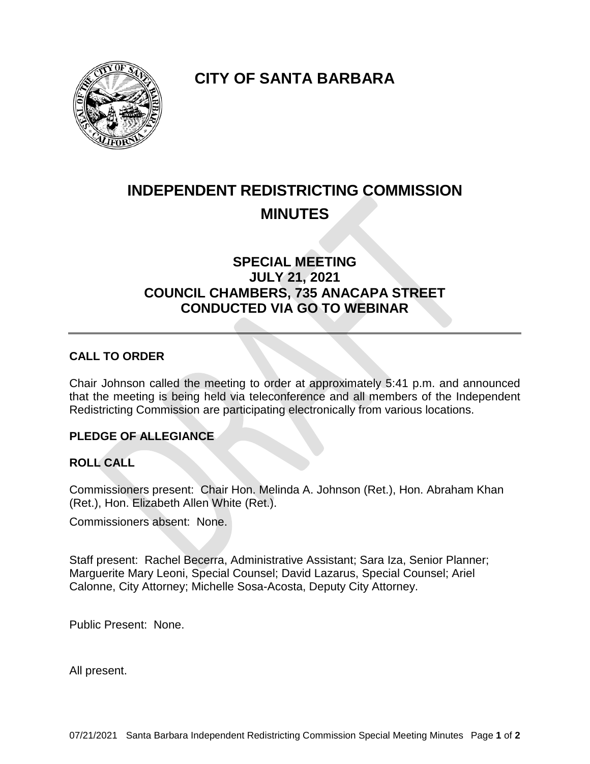

**CITY OF SANTA BARBARA**

# **INDEPENDENT REDISTRICTING COMMISSION MINUTES**

# **SPECIAL MEETING JULY 21, 2021 COUNCIL CHAMBERS, 735 ANACAPA STREET CONDUCTED VIA GO TO WEBINAR**

## **CALL TO ORDER**

Chair Johnson called the meeting to order at approximately 5:41 p.m. and announced that the meeting is being held via teleconference and all members of the Independent Redistricting Commission are participating electronically from various locations.

#### **PLEDGE OF ALLEGIANCE**

#### **ROLL CALL**

Commissioners present: Chair Hon. Melinda A. Johnson (Ret.), Hon. Abraham Khan (Ret.), Hon. Elizabeth Allen White (Ret.).

Commissioners absent: None.

Staff present: Rachel Becerra, Administrative Assistant; Sara Iza, Senior Planner; Marguerite Mary Leoni, Special Counsel; David Lazarus, Special Counsel; Ariel Calonne, City Attorney; Michelle Sosa-Acosta, Deputy City Attorney.

Public Present: None.

All present.